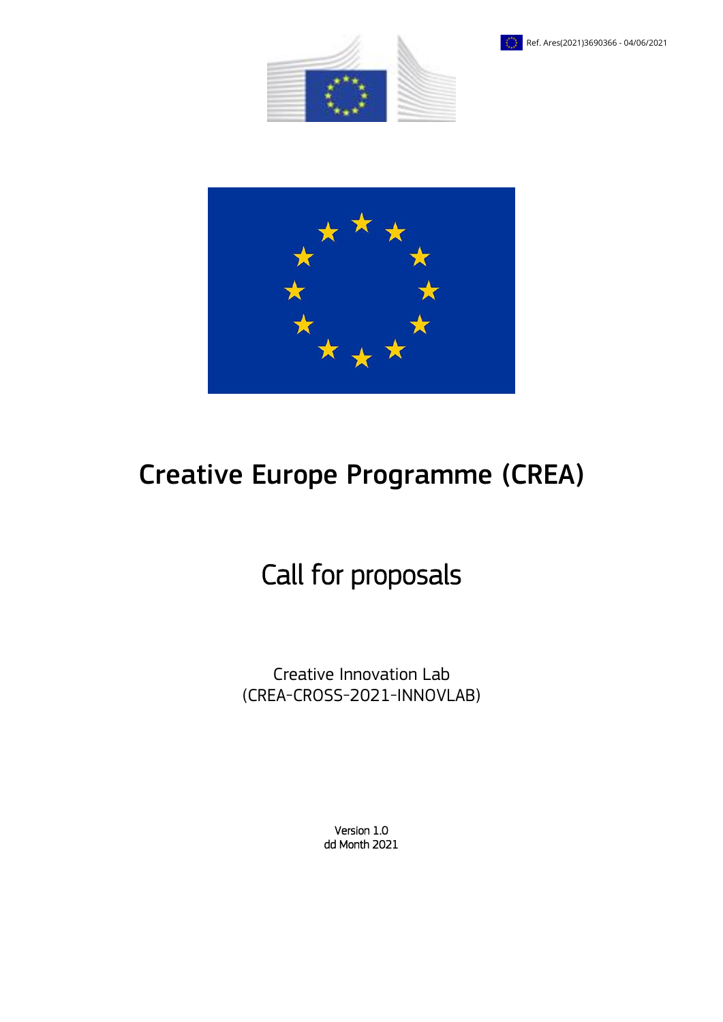





# Creative Europe Programme (CREA)

# Call for proposals

Creative Innovation Lab (CREA-CROSS-2021-INNOVLAB)

> Version 1.0 dd Month 2021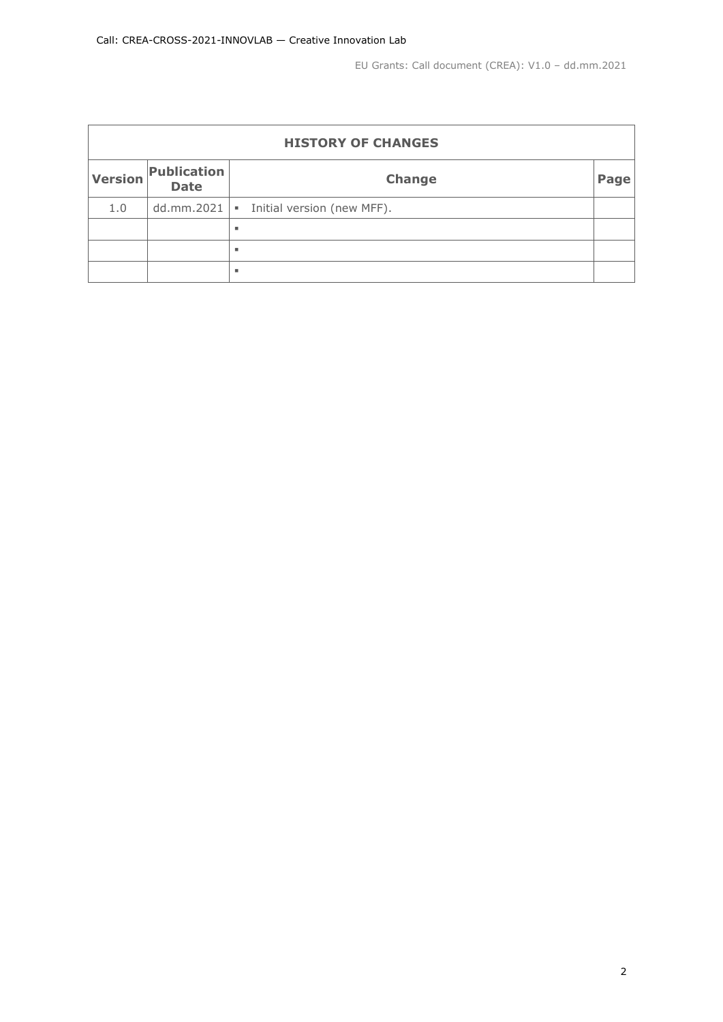| <b>HISTORY OF CHANGES</b> |                                |                            |      |  |  |  |
|---------------------------|--------------------------------|----------------------------|------|--|--|--|
| <b>Version</b>            | Publication<br><b>Date</b>     | <b>Change</b>              | Page |  |  |  |
| 1.0                       | dd.mm.2021 $\vert \cdot \vert$ | Initial version (new MFF). |      |  |  |  |
|                           |                                | ٠                          |      |  |  |  |
|                           |                                | ٠                          |      |  |  |  |
|                           |                                | ٠                          |      |  |  |  |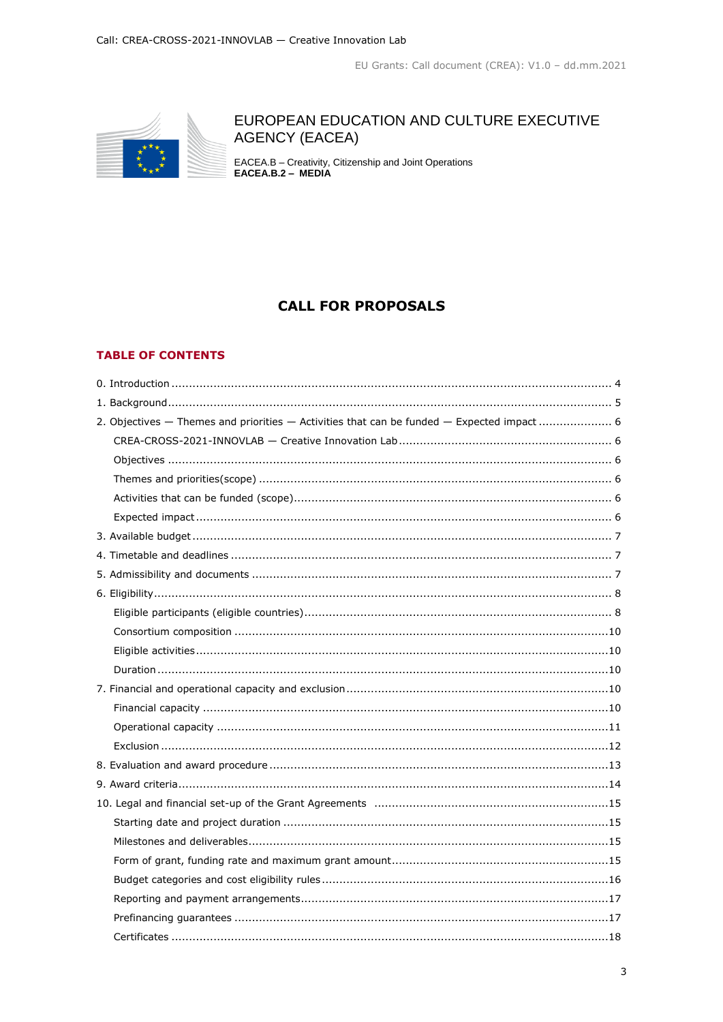

# EUROPEAN EDUCATION AND CULTURE EXECUTIVE **AGENCY (EACEA)**

EACEA.B - Creativity, Citizenship and Joint Operations<br>EACEA.B.2 - MEDIA

# **CALL FOR PROPOSALS**

### **TABLE OF CONTENTS**

| 2. Objectives - Themes and priorities - Activities that can be funded - Expected impact 6 |
|-------------------------------------------------------------------------------------------|
|                                                                                           |
|                                                                                           |
|                                                                                           |
|                                                                                           |
|                                                                                           |
|                                                                                           |
|                                                                                           |
|                                                                                           |
|                                                                                           |
|                                                                                           |
|                                                                                           |
|                                                                                           |
|                                                                                           |
|                                                                                           |
|                                                                                           |
|                                                                                           |
|                                                                                           |
|                                                                                           |
|                                                                                           |
|                                                                                           |
|                                                                                           |
|                                                                                           |
|                                                                                           |
|                                                                                           |
|                                                                                           |
|                                                                                           |
|                                                                                           |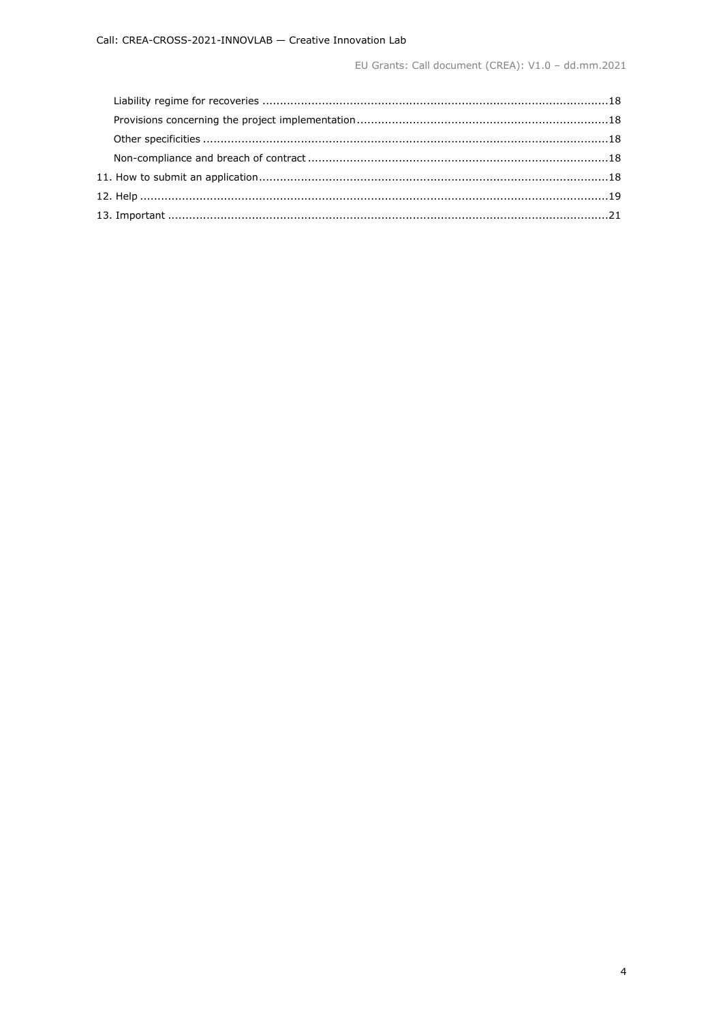EU Grants: Call document (CREA): V1.0 - dd.mm.2021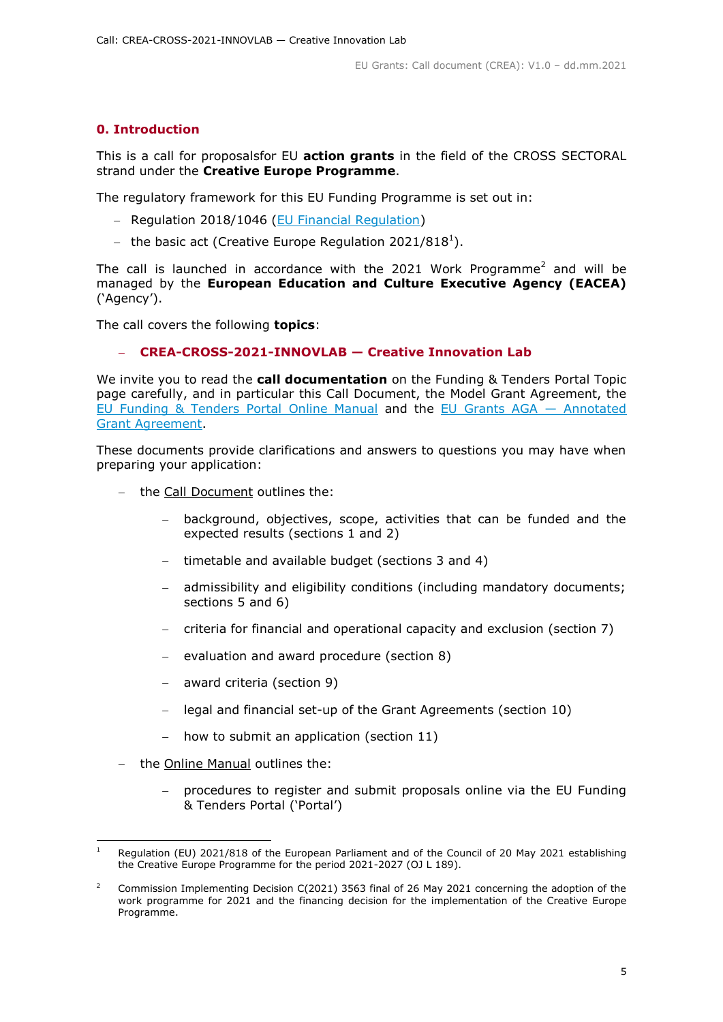# <span id="page-4-0"></span>**0. Introduction**

This is a call for proposalsfor EU **action grants** in the field of the CROSS SECTORAL strand under the **Creative Europe Programme**.

The regulatory framework for this EU Funding Programme is set out in:

- Regulation 2018/1046 [\(EU Financial Regulation\)](https://eur-lex.europa.eu/legal-content/EN/ALL/?uri=CELEX:32018R1046&qid=1535046024012)
- the basic act (Creative Europe Regulation 2021/818<sup>1</sup>).

The call is launched in accordance with the 2021 Work Programme<sup>2</sup> and will be managed by the **European Education and Culture Executive Agency (EACEA)** ('Agency').

The call covers the following **topics**:

#### **CREA-CROSS-2021-INNOVLAB — Creative Innovation Lab**

We invite you to read the **call documentation** on the Funding & Tenders Portal Topic page carefully, and in particular this Call Document, the Model Grant Agreement, the [EU Funding & Tenders Portal Online Manual](https://ec.europa.eu/info/funding-tenders/opportunities/docs/2021-2027/common/guidance/om_en.pdf) and the [EU Grants AGA](https://ec.europa.eu/info/funding-tenders/opportunities/docs/2021-2027/common/guidance/aga_en.pdf) — Annotated [Grant Agreement.](https://ec.europa.eu/info/funding-tenders/opportunities/docs/2021-2027/common/guidance/aga_en.pdf)

These documents provide clarifications and answers to questions you may have when preparing your application:

- the Call Document outlines the:
	- background, objectives, scope, activities that can be funded and the expected results (sections 1 and 2)
	- timetable and available budget (sections 3 and 4)
	- admissibility and eligibility conditions (including mandatory documents; sections 5 and 6)
	- criteria for financial and operational capacity and exclusion (section 7)
	- evaluation and award procedure (section 8)
	- award criteria (section 9)
	- legal and financial set-up of the Grant Agreements (section 10)
	- how to submit an application (section 11)
- the Online Manual outlines the:

-

 procedures to register and submit proposals online via the EU Funding & Tenders Portal ('Portal')

Regulation (EU) 2021/818 of the European Parliament and of the Council of 20 May 2021 establishing the Creative Europe Programme for the period 2021-2027 (OJ L 189).

<sup>2</sup> Commission Implementing Decision C(2021) 3563 final of 26 May 2021 concerning the adoption of the work programme for 2021 and the financing decision for the implementation of the Creative Europe Programme.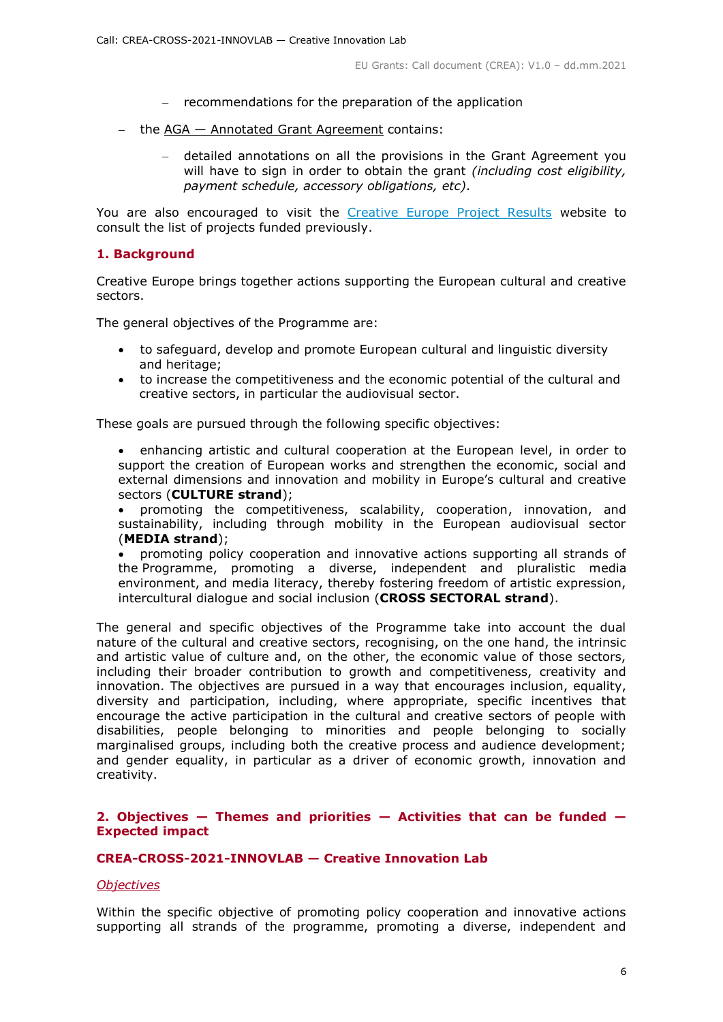- $-$  recommendations for the preparation of the application
- $-$  the AGA  $-$  Annotated Grant Agreement contains:
	- detailed annotations on all the provisions in the Grant Agreement you will have to sign in order to obtain the grant *(including cost eligibility, payment schedule, accessory obligations, etc)*.

You are also encouraged to visit the [Creative Europe Project Results](https://ec.europa.eu/programmes/creative-europe/projects/) website to consult the list of projects funded previously.

#### <span id="page-5-0"></span>**1. Background**

Creative Europe brings together actions supporting the European cultural and creative sectors.

The general objectives of the Programme are:

- to safeguard, develop and promote European cultural and linguistic diversity and heritage;
- to increase the competitiveness and the economic potential of the cultural and creative sectors, in particular the audiovisual sector.

These goals are pursued through the following specific objectives:

 enhancing artistic and cultural cooperation at the European level, in order to support the creation of European works and strengthen the economic, social and external dimensions and innovation and mobility in Europe's cultural and creative sectors (**CULTURE strand**);

 promoting the competitiveness, scalability, cooperation, innovation, and sustainability, including through mobility in the European audiovisual sector (**MEDIA strand**);

 promoting policy cooperation and innovative actions supporting all strands of the Programme, promoting a diverse, independent and pluralistic media environment, and media literacy, thereby fostering freedom of artistic expression, intercultural dialogue and social inclusion (**CROSS SECTORAL strand**).

The general and specific objectives of the Programme take into account the dual nature of the cultural and creative sectors, recognising, on the one hand, the intrinsic and artistic value of culture and, on the other, the economic value of those sectors, including their broader contribution to growth and competitiveness, creativity and innovation. The objectives are pursued in a way that encourages inclusion, equality, diversity and participation, including, where appropriate, specific incentives that encourage the active participation in the cultural and creative sectors of people with disabilities, people belonging to minorities and people belonging to socially marginalised groups, including both the creative process and audience development; and gender equality, in particular as a driver of economic growth, innovation and creativity.

# <span id="page-5-1"></span>**2. Objectives — Themes and priorities — Activities that can be funded — Expected impact**

#### <span id="page-5-2"></span>**CREA-CROSS-2021-INNOVLAB — Creative Innovation Lab**

#### <span id="page-5-3"></span>*Objectives*

Within the specific objective of promoting policy cooperation and innovative actions supporting all strands of the programme, promoting a diverse, independent and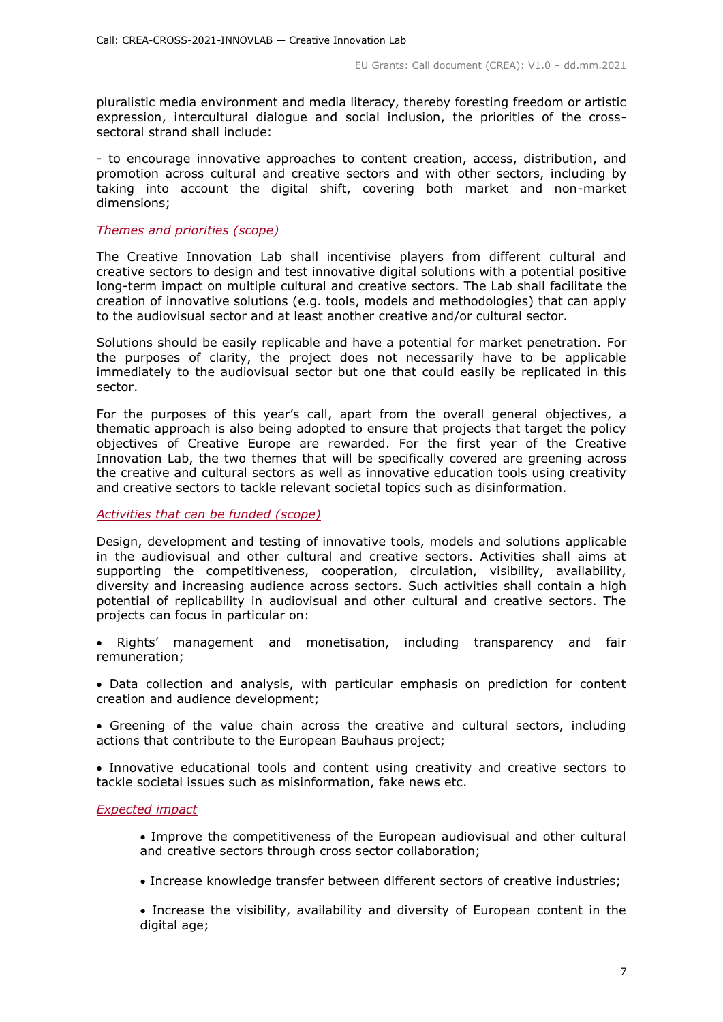pluralistic media environment and media literacy, thereby foresting freedom or artistic expression, intercultural dialogue and social inclusion, the priorities of the crosssectoral strand shall include:

- to encourage innovative approaches to content creation, access, distribution, and promotion across cultural and creative sectors and with other sectors, including by taking into account the digital shift, covering both market and non-market dimensions;

#### <span id="page-6-0"></span>*Themes and priorities (scope)*

The Creative Innovation Lab shall incentivise players from different cultural and creative sectors to design and test innovative digital solutions with a potential positive long-term impact on multiple cultural and creative sectors. The Lab shall facilitate the creation of innovative solutions (e.g. tools, models and methodologies) that can apply to the audiovisual sector and at least another creative and/or cultural sector.

Solutions should be easily replicable and have a potential for market penetration. For the purposes of clarity, the project does not necessarily have to be applicable immediately to the audiovisual sector but one that could easily be replicated in this sector.

For the purposes of this year's call, apart from the overall general objectives, a thematic approach is also being adopted to ensure that projects that target the policy objectives of Creative Europe are rewarded. For the first year of the Creative Innovation Lab, the two themes that will be specifically covered are greening across the creative and cultural sectors as well as innovative education tools using creativity and creative sectors to tackle relevant societal topics such as disinformation.

#### <span id="page-6-1"></span>*Activities that can be funded (scope)*

Design, development and testing of innovative tools, models and solutions applicable in the audiovisual and other cultural and creative sectors. Activities shall aims at supporting the competitiveness, cooperation, circulation, visibility, availability, diversity and increasing audience across sectors. Such activities shall contain a high potential of replicability in audiovisual and other cultural and creative sectors. The projects can focus in particular on:

 Rights' management and monetisation, including transparency and fair remuneration;

 Data collection and analysis, with particular emphasis on prediction for content creation and audience development;

 Greening of the value chain across the creative and cultural sectors, including actions that contribute to the European Bauhaus project;

 Innovative educational tools and content using creativity and creative sectors to tackle societal issues such as misinformation, fake news etc.

#### <span id="page-6-2"></span>*Expected impact*

- Improve the competitiveness of the European audiovisual and other cultural and creative sectors through cross sector collaboration;
- Increase knowledge transfer between different sectors of creative industries;

 Increase the visibility, availability and diversity of European content in the digital age;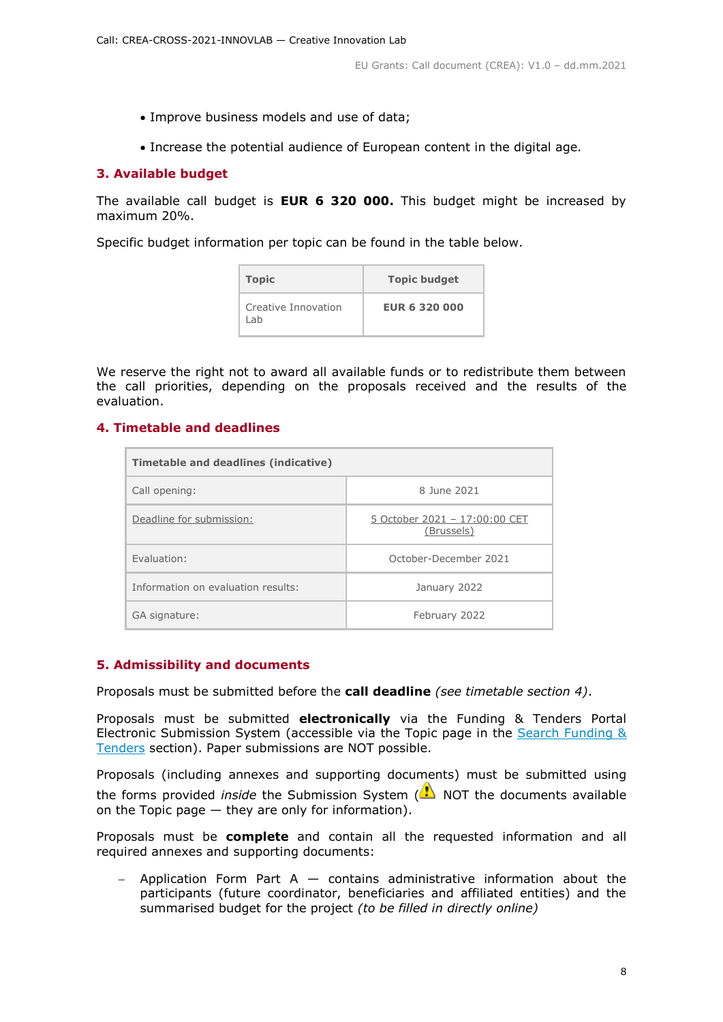- Improve business models and use of data;
- Increase the potential audience of European content in the digital age.

# <span id="page-7-0"></span>**3. Available budget**

The available call budget is **EUR 6 320 000.** This budget might be increased by maximum 20%.

Specific budget information per topic can be found in the table below.

| <b>Topic</b>                | <b>Topic budget</b>  |
|-----------------------------|----------------------|
| Creative Innovation<br>l ah | <b>EUR 6 320 000</b> |

We reserve the right not to award all available funds or to redistribute them between the call priorities, depending on the proposals received and the results of the evaluation.

# <span id="page-7-1"></span>**4. Timetable and deadlines**

| Timetable and deadlines (indicative) |                                             |  |  |  |
|--------------------------------------|---------------------------------------------|--|--|--|
| Call opening:                        | 8 June 2021                                 |  |  |  |
| Deadline for submission:             | 5 October 2021 - 17:00:00 CET<br>(Brussels) |  |  |  |
| Fvaluation:                          | October-December 2021                       |  |  |  |
| Information on evaluation results:   | January 2022                                |  |  |  |
| GA signature:                        | February 2022                               |  |  |  |

# <span id="page-7-2"></span>**5. Admissibility and documents**

Proposals must be submitted before the **call deadline** *(see timetable section 4)*.

Proposals must be submitted **electronically** via the Funding & Tenders Portal Electronic Submission System (accessible via the Topic page in the [Search Funding &](https://ec.europa.eu/info/funding-tenders/opportunities/portal/screen/opportunities/topic-search;freeTextSearchKeyword=;typeCodes=0,1;statusCodes=31094501,31094502,31094503;programCode=null;programDivisionCode=null;focusAreaCode=null;crossCuttingPriorityCode=null;callCode=Default;sortQuery=openingDate;orderBy=asc;onlyTenders=false;topicListKey=topicSearchTablePageState)  [Tenders](https://ec.europa.eu/info/funding-tenders/opportunities/portal/screen/opportunities/topic-search;freeTextSearchKeyword=;typeCodes=0,1;statusCodes=31094501,31094502,31094503;programCode=null;programDivisionCode=null;focusAreaCode=null;crossCuttingPriorityCode=null;callCode=Default;sortQuery=openingDate;orderBy=asc;onlyTenders=false;topicListKey=topicSearchTablePageState) section). Paper submissions are NOT possible.

Proposals (including annexes and supporting documents) must be submitted using the forms provided *inside* the Submission System (**A**) NOT the documents available on the Topic page — they are only for information).

Proposals must be **complete** and contain all the requested information and all required annexes and supporting documents:

Application Form Part  $A -$  contains administrative information about the participants (future coordinator, beneficiaries and affiliated entities) and the summarised budget for the project *(to be filled in directly online)*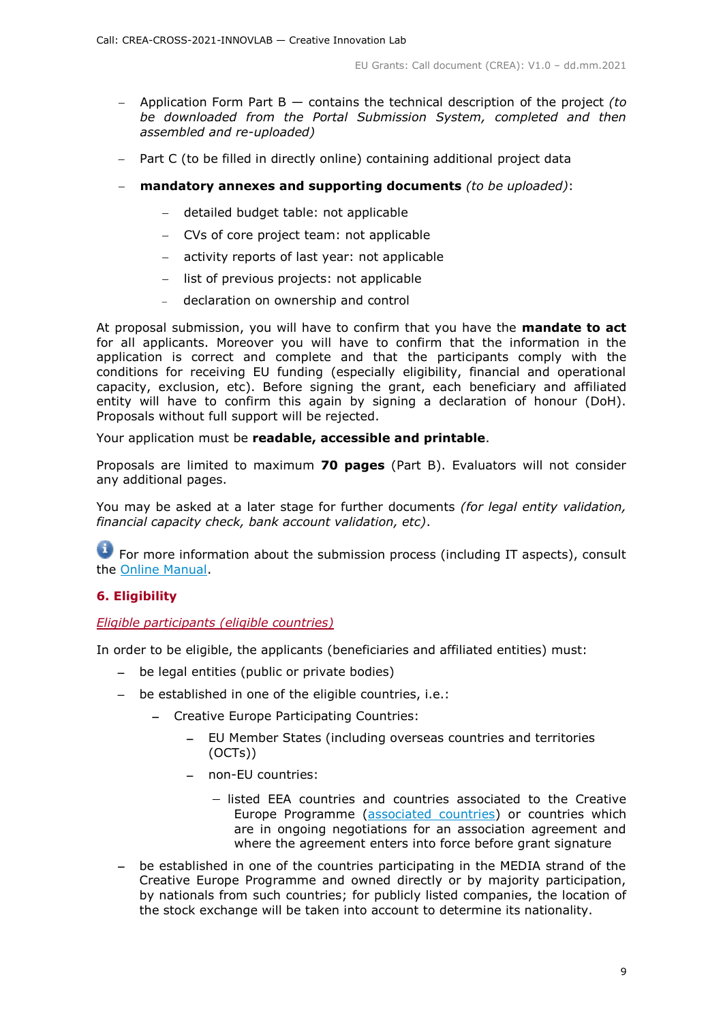- Application Form Part B contains the technical description of the project *(to be downloaded from the Portal Submission System, completed and then assembled and re-uploaded)*
- Part C (to be filled in directly online) containing additional project data
- **mandatory annexes and supporting documents** *(to be uploaded)*:
	- detailed budget table: not applicable
	- CVs of core project team: not applicable
	- activity reports of last year: not applicable
	- list of previous projects: not applicable
	- declaration on ownership and control

At proposal submission, you will have to confirm that you have the **mandate to act** for all applicants. Moreover you will have to confirm that the information in the application is correct and complete and that the participants comply with the conditions for receiving EU funding (especially eligibility, financial and operational capacity, exclusion, etc). Before signing the grant, each beneficiary and affiliated entity will have to confirm this again by signing a declaration of honour (DoH). Proposals without full support will be rejected.

Your application must be **readable, accessible and printable**.

Proposals are limited to maximum **70 pages** (Part B). Evaluators will not consider any additional pages.

You may be asked at a later stage for further documents *(for legal entity validation, financial capacity check, bank account validation, etc)*.

**T** For more information about the submission process (including IT aspects), consult the [Online Manual.](https://ec.europa.eu/info/funding-tenders/opportunities/docs/2021-2027/common/guidance/om_en.pdf)

# <span id="page-8-0"></span>**6. Eligibility**

# <span id="page-8-1"></span>*Eligible participants (eligible countries)*

In order to be eligible, the applicants (beneficiaries and affiliated entities) must:

- be legal entities (public or private bodies)
- be established in one of the eligible countries, i.e.:
	- Creative Europe Participating Countries:
		- EU Member States (including overseas countries and territories (OCTs))
		- non-EU countries:
			- listed EEA countries and countries associated to the Creative Europe Programme [\(associated countries\)](https://ec.europa.eu/info/funding-tenders/opportunities/docs/2021-2027/crea/guidance/list-3rd-country-participation_crea_en.pdf) or countries which are in ongoing negotiations for an association agreement and where the agreement enters into force before grant signature
- be established in one of the countries participating in the MEDIA strand of the Creative Europe Programme and owned directly or by majority participation, by nationals from such countries; for publicly listed companies, the location of the stock exchange will be taken into account to determine its nationality.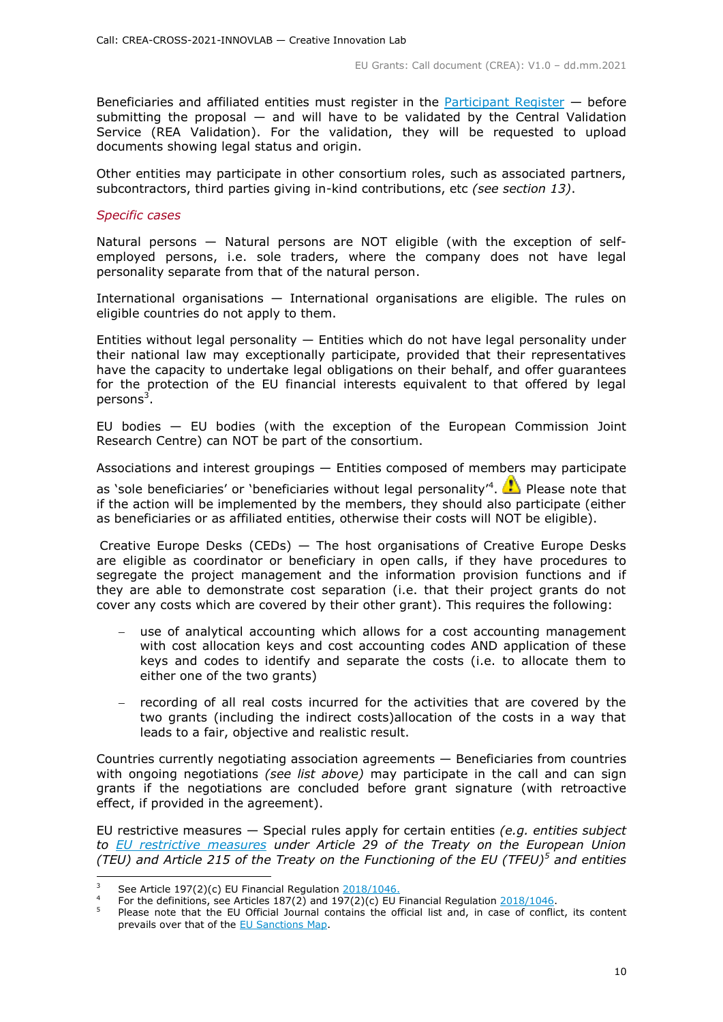Beneficiaries and affiliated entities must register in the [Participant Register](https://ec.europa.eu/info/funding-tenders/opportunities/portal/screen/how-to-participate/participant-register)  $-$  before submitting the proposal — and will have to be validated by the Central Validation Service (REA Validation). For the validation, they will be requested to upload documents showing legal status and origin.

Other entities may participate in other consortium roles, such as associated partners, subcontractors, third parties giving in-kind contributions, etc *(see section 13)*.

#### *Specific cases*

Natural persons — Natural persons are NOT eligible (with the exception of selfemployed persons, i.e. sole traders, where the company does not have legal personality separate from that of the natural person.

International organisations — International organisations are eligible. The rules on eligible countries do not apply to them.

Entities without legal personality  $-$  Entities which do not have legal personality under their national law may exceptionally participate, provided that their representatives have the capacity to undertake legal obligations on their behalf, and offer guarantees for the protection of the EU financial interests equivalent to that offered by legal persons<sup>3</sup>.

EU bodies — EU bodies (with the exception of the European Commission Joint Research Centre) can NOT be part of the consortium.

Associations and interest groupings — Entities composed of members may participate

as 'sole beneficiaries' or 'beneficiaries without legal personality'<sup>4</sup>.  $\bullet$  Please note that if the action will be implemented by the members, they should also participate (either as beneficiaries or as affiliated entities, otherwise their costs will NOT be eligible).

Creative Europe Desks (CEDs) — The host organisations of Creative Europe Desks are eligible as coordinator or beneficiary in open calls, if they have procedures to segregate the project management and the information provision functions and if they are able to demonstrate cost separation (i.e. that their project grants do not cover any costs which are covered by their other grant). This requires the following:

- use of analytical accounting which allows for a cost accounting management with cost allocation keys and cost accounting codes AND application of these keys and codes to identify and separate the costs (i.e. to allocate them to either one of the two grants)
- $-$  recording of all real costs incurred for the activities that are covered by the two grants (including the indirect costs)allocation of the costs in a way that leads to a fair, objective and realistic result.

Countries currently negotiating association agreements — Beneficiaries from countries with ongoing negotiations *(see list above)* may participate in the call and can sign grants if the negotiations are concluded before grant signature (with retroactive effect, if provided in the agreement).

EU restrictive measures — Special rules apply for certain entities *(e.g. entities subject to [EU restrictive measures](http://www.sanctionsmap.eu/) under Article 29 of the Treaty on the European Union (TEU) and Article 215 of the Treaty on the Functioning of the EU (TFEU)<sup>5</sup> and entities* 

<sup>-</sup><sup>3</sup> See Article 197(2)(c) EU Financial Regulation [2018/1046.](https://eur-lex.europa.eu/legal-content/EN/ALL/?uri=CELEX:32018R1046&qid=1535046024012)

<sup>4</sup> For the definitions, see Articles 187(2) and 197(2)(c) EU Financial Regulation  $\frac{2018/1046}{.}$ 

Please note that the EU Official Journal contains the official list and, in case of conflict, its content prevails over that of the **EU Sanctions Map**.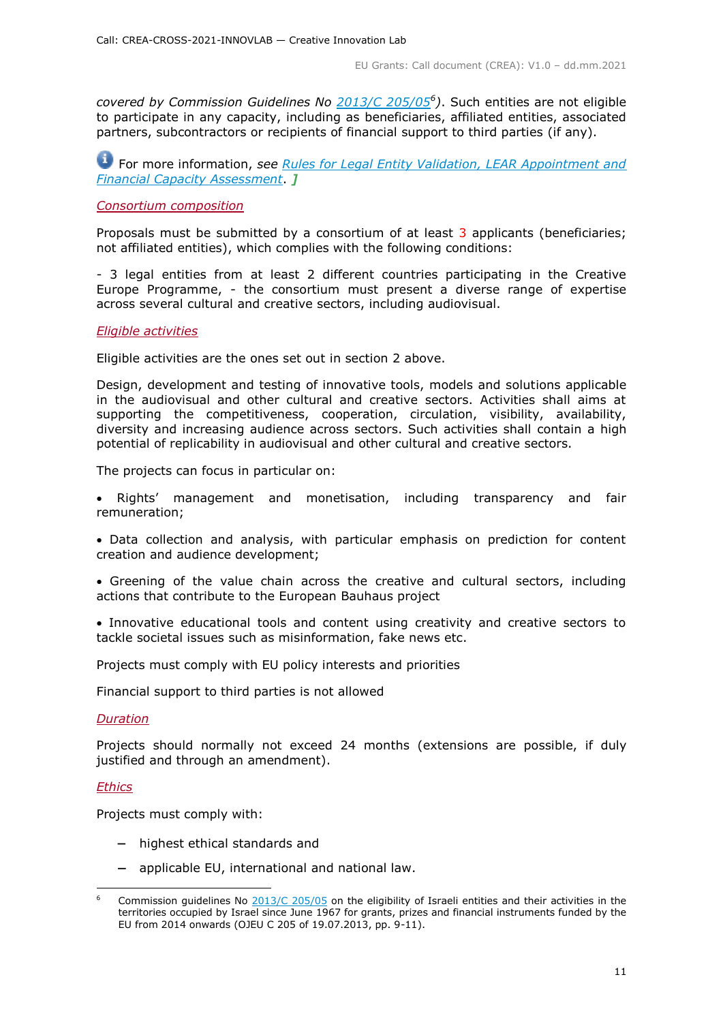*covered by Commission Guidelines No [2013/C 205/05](http://eur-lex.europa.eu/LexUriServ/LexUriServ.do?uri=OJ:C:2013:205:FULL:EN:PDF)<sup>6</sup> )*. Such entities are not eligible to participate in any capacity, including as beneficiaries, affiliated entities, associated partners, subcontractors or recipients of financial support to third parties (if any).

For more information, *see [Rules for Legal Entity Validation, LEAR Appointment and](https://ec.europa.eu/info/funding-tenders/opportunities/docs/2021-2027/common/guidance/rules-lev-lear-fca_en.pdf)  [Financial Capacity Assessment](https://ec.europa.eu/info/funding-tenders/opportunities/docs/2021-2027/common/guidance/rules-lev-lear-fca_en.pdf)*. *]*

# <span id="page-10-0"></span>*Consortium composition*

Proposals must be submitted by a consortium of at least 3 applicants (beneficiaries; not affiliated entities), which complies with the following conditions:

- 3 legal entities from at least 2 different countries participating in the Creative Europe Programme, - the consortium must present a diverse range of expertise across several cultural and creative sectors, including audiovisual.

#### <span id="page-10-1"></span>*Eligible activities*

Eligible activities are the ones set out in section 2 above.

Design, development and testing of innovative tools, models and solutions applicable in the audiovisual and other cultural and creative sectors. Activities shall aims at supporting the competitiveness, cooperation, circulation, visibility, availability, diversity and increasing audience across sectors. Such activities shall contain a high potential of replicability in audiovisual and other cultural and creative sectors.

The projects can focus in particular on:

- Rights' management and monetisation, including transparency and fair remuneration;
- Data collection and analysis, with particular emphasis on prediction for content creation and audience development;
- Greening of the value chain across the creative and cultural sectors, including actions that contribute to the European Bauhaus project
- Innovative educational tools and content using creativity and creative sectors to tackle societal issues such as misinformation, fake news etc.

Projects must comply with EU policy interests and priorities

Financial support to third parties is not allowed

#### <span id="page-10-2"></span>*Duration*

Projects should normally not exceed 24 months (extensions are possible, if duly justified and through an amendment).

#### *Ethics*

-

Projects must comply with:

- highest ethical standards and
- applicable EU, international and national law.

Commission guidelines No [2013/C 205/05](http://eur-lex.europa.eu/LexUriServ/LexUriServ.do?uri=OJ:C:2013:205:FULL:EN:PDF) on the eligibility of Israeli entities and their activities in the territories occupied by Israel since June 1967 for grants, prizes and financial instruments funded by the EU from 2014 onwards (OJEU C 205 of 19.07.2013, pp. 9-11).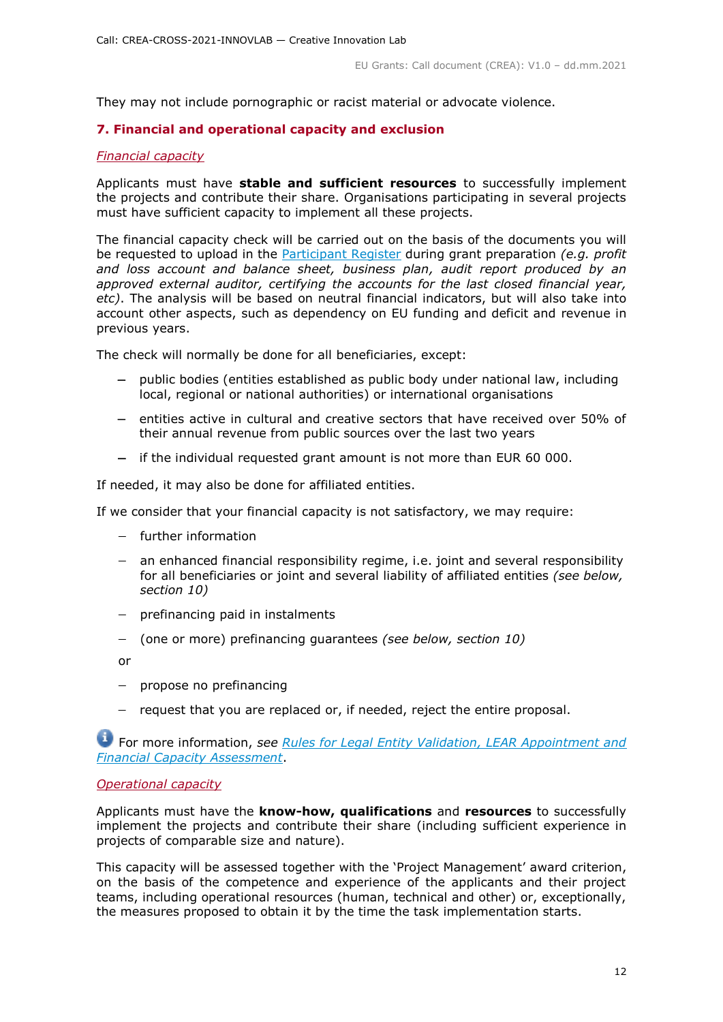They may not include pornographic or racist material or advocate violence.

# <span id="page-11-0"></span>**7. Financial and operational capacity and exclusion**

# <span id="page-11-1"></span>*Financial capacity*

Applicants must have **stable and sufficient resources** to successfully implement the projects and contribute their share. Organisations participating in several projects must have sufficient capacity to implement all these projects.

The financial capacity check will be carried out on the basis of the documents you will be requested to upload in the [Participant Register](https://ec.europa.eu/info/funding-tenders/opportunities/portal/screen/how-to-participate/participant-register) during grant preparation *(e.g. profit and loss account and balance sheet, business plan, audit report produced by an approved external auditor, certifying the accounts for the last closed financial year, etc)*. The analysis will be based on neutral financial indicators, but will also take into account other aspects, such as dependency on EU funding and deficit and revenue in previous years.

The check will normally be done for all beneficiaries, except:

- public bodies (entities established as public body under national law, including local, regional or national authorities) or international organisations
- $-$  entities active in cultural and creative sectors that have received over 50% of their annual revenue from public sources over the last two years
- $-$  if the individual requested grant amount is not more than EUR 60 000.

If needed, it may also be done for affiliated entities.

If we consider that your financial capacity is not satisfactory, we may require:

- further information
- an enhanced financial responsibility regime, i.e. joint and several responsibility for all beneficiaries or joint and several liability of affiliated entities *(see below, section 10)*
- $-$  prefinancing paid in instalments
- (one or more) prefinancing guarantees *(see below, section 10)*

or

- $-$  propose no prefinancing
- request that you are replaced or, if needed, reject the entire proposal.

For more information, *see Rules for [Legal Entity Validation, LEAR Appointment and](https://ec.europa.eu/info/funding-tenders/opportunities/docs/2021-2027/common/guidance/rules-lev-lear-fca_en.pdf)  [Financial Capacity Assessment](https://ec.europa.eu/info/funding-tenders/opportunities/docs/2021-2027/common/guidance/rules-lev-lear-fca_en.pdf)*.

#### <span id="page-11-2"></span>*Operational capacity*

Applicants must have the **know-how, qualifications** and **resources** to successfully implement the projects and contribute their share (including sufficient experience in projects of comparable size and nature).

This capacity will be assessed together with the 'Project Management' award criterion, on the basis of the competence and experience of the applicants and their project teams, including operational resources (human, technical and other) or, exceptionally, the measures proposed to obtain it by the time the task implementation starts.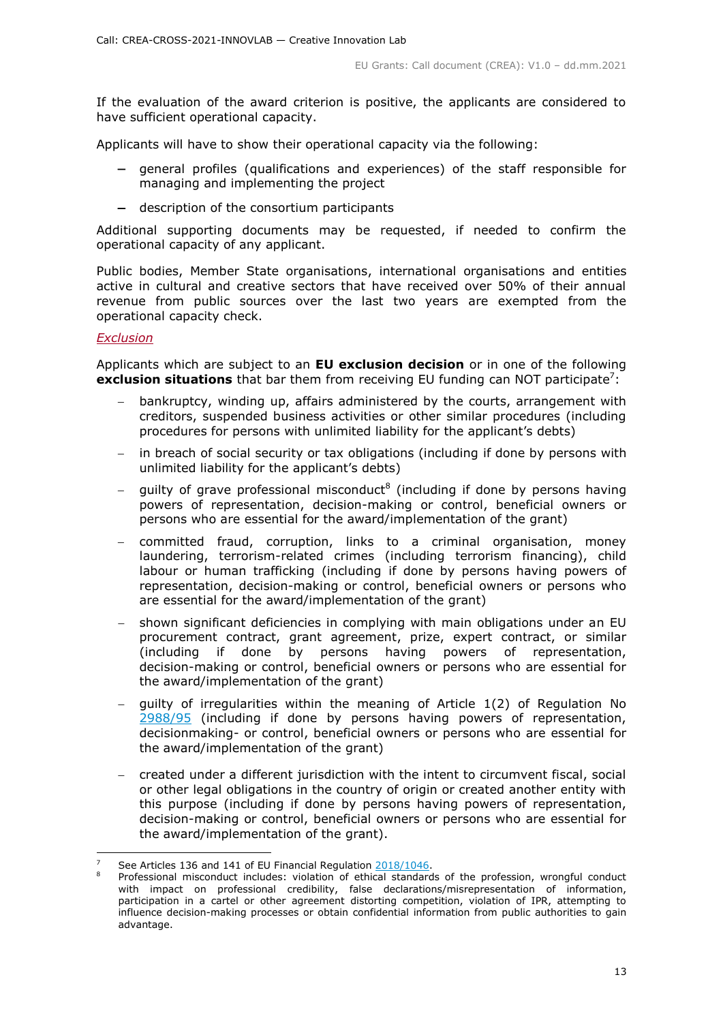If the evaluation of the award criterion is positive, the applicants are considered to have sufficient operational capacity.

Applicants will have to show their operational capacity via the following:

- general profiles (qualifications and experiences) of the staff responsible for managing and implementing the project
- description of the consortium participants

Additional supporting documents may be requested, if needed to confirm the operational capacity of any applicant.

Public bodies, Member State organisations, international organisations and entities active in cultural and creative sectors that have received over 50% of their annual revenue from public sources over the last two years are exempted from the operational capacity check.

#### <span id="page-12-0"></span>*Exclusion*

-

Applicants which are subject to an **EU exclusion decision** or in one of the following **exclusion situations** that bar them from receiving EU funding can NOT participate<sup>7</sup>:

- bankruptcy, winding up, affairs administered by the courts, arrangement with creditors, suspended business activities or other similar procedures (including procedures for persons with unlimited liability for the applicant's debts)
- in breach of social security or tax obligations (including if done by persons with unlimited liability for the applicant's debts)
- $-$  guilty of grave professional misconduct<sup>8</sup> (including if done by persons having powers of representation, decision-making or control, beneficial owners or persons who are essential for the award/implementation of the grant)
- committed fraud, corruption, links to a criminal organisation, money laundering, terrorism-related crimes (including terrorism financing), child labour or human trafficking (including if done by persons having powers of representation, decision-making or control, beneficial owners or persons who are essential for the award/implementation of the grant)
- shown significant deficiencies in complying with main obligations under an EU procurement contract, grant agreement, prize, expert contract, or similar (including if done by persons having powers of representation, decision-making or control, beneficial owners or persons who are essential for the award/implementation of the grant)
- guilty of irregularities within the meaning of Article 1(2) of Regulation No [2988/95](http://eur-lex.europa.eu/legal-content/EN/ALL/?uri=CELEX:31995R2988&qid=1501598622514) (including if done by persons having powers of representation, decisionmaking- or control, beneficial owners or persons who are essential for the award/implementation of the grant)
- created under a different jurisdiction with the intent to circumvent fiscal, social or other legal obligations in the country of origin or created another entity with this purpose (including if done by persons having powers of representation, decision-making or control, beneficial owners or persons who are essential for the award/implementation of the grant).

<sup>7</sup> See Articles 136 and 141 of EU Financial Regulation [2018/1046.](https://eur-lex.europa.eu/legal-content/EN/ALL/?uri=CELEX:32018R1046&qid=1535046024012)

Professional misconduct includes: violation of ethical standards of the profession, wrongful conduct with impact on professional credibility, false declarations/misrepresentation of information, participation in a cartel or other agreement distorting competition, violation of IPR, attempting to influence decision-making processes or obtain confidential information from public authorities to gain advantage.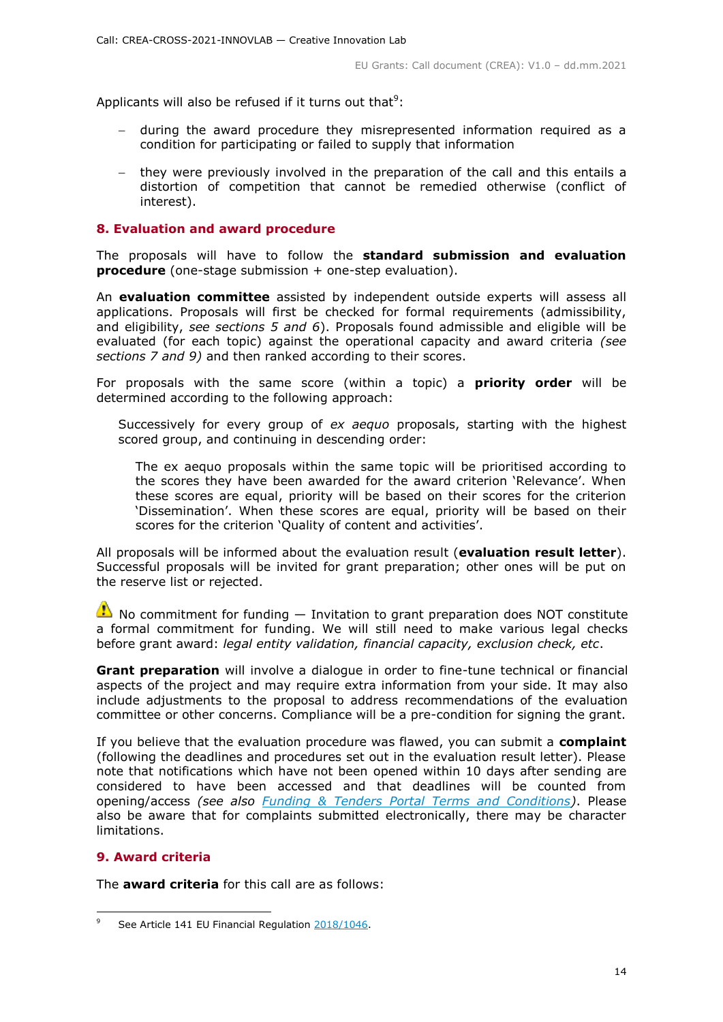Applicants will also be refused if it turns out that<sup>9</sup>:

- during the award procedure they misrepresented information required as a condition for participating or failed to supply that information
- they were previously involved in the preparation of the call and this entails a distortion of competition that cannot be remedied otherwise (conflict of interest).

# <span id="page-13-0"></span>**8. Evaluation and award procedure**

The proposals will have to follow the **standard submission and evaluation procedure** (one-stage submission + one-step evaluation).

An **evaluation committee** assisted by independent outside experts will assess all applications. Proposals will first be checked for formal requirements (admissibility, and eligibility, *see sections 5 and 6*). Proposals found admissible and eligible will be evaluated (for each topic) against the operational capacity and award criteria *(see sections 7 and 9)* and then ranked according to their scores.

For proposals with the same score (within a topic) a **priority order** will be determined according to the following approach:

Successively for every group of *ex aequo* proposals, starting with the highest scored group, and continuing in descending order:

The ex aequo proposals within the same topic will be prioritised according to the scores they have been awarded for the award criterion 'Relevance'. When these scores are equal, priority will be based on their scores for the criterion 'Dissemination'. When these scores are equal, priority will be based on their scores for the criterion 'Quality of content and activities'.

All proposals will be informed about the evaluation result (**evaluation result letter**). Successful proposals will be invited for grant preparation; other ones will be put on the reserve list or rejected.

 $\bullet$  No commitment for funding  $-$  Invitation to grant preparation does NOT constitute a formal commitment for funding. We will still need to make various legal checks before grant award: *legal entity validation, financial capacity, exclusion check, etc*.

**Grant preparation** will involve a dialogue in order to fine-tune technical or financial aspects of the project and may require extra information from your side. It may also include adjustments to the proposal to address recommendations of the evaluation committee or other concerns. Compliance will be a pre-condition for signing the grant.

If you believe that the evaluation procedure was flawed, you can submit a **complaint** (following the deadlines and procedures set out in the evaluation result letter). Please note that notifications which have not been opened within 10 days after sending are considered to have been accessed and that deadlines will be counted from opening/access *(see also [Funding & Tenders Portal Terms and Conditions\)](https://ec.europa.eu/info/funding-tenders/opportunities/docs/2021-2027/common/ftp/tc_en.pdf)*. Please also be aware that for complaints submitted electronically, there may be character limitations.

# <span id="page-13-1"></span>**9. Award criteria**

-

The **award criteria** for this call are as follows:

<sup>9</sup> See Article 141 EU Financial Regulation [2018/1046.](https://eur-lex.europa.eu/legal-content/EN/ALL/?uri=CELEX:32018R1046&qid=1535046024012)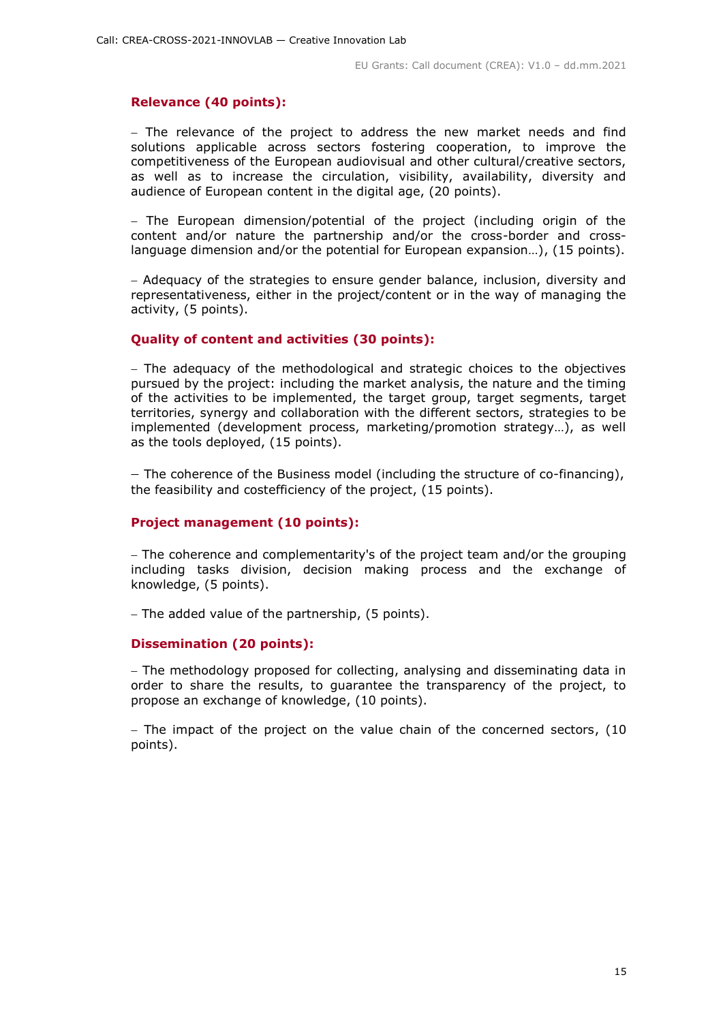#### **Relevance (40 points):**

- The relevance of the project to address the new market needs and find solutions applicable across sectors fostering cooperation, to improve the competitiveness of the European audiovisual and other cultural/creative sectors, as well as to increase the circulation, visibility, availability, diversity and audience of European content in the digital age, (20 points).

 $-$  The European dimension/potential of the project (including origin of the content and/or nature the partnership and/or the cross-border and crosslanguage dimension and/or the potential for European expansion…), (15 points).

- Adequacy of the strategies to ensure gender balance, inclusion, diversity and representativeness, either in the project/content or in the way of managing the activity, (5 points).

# **Quality of content and activities (30 points):**

- The adequacy of the methodological and strategic choices to the objectives pursued by the project: including the market analysis, the nature and the timing of the activities to be implemented, the target group, target segments, target territories, synergy and collaboration with the different sectors, strategies to be implemented (development process, marketing/promotion strategy…), as well as the tools deployed, (15 points).

- The coherence of the Business model (including the structure of co-financing), the feasibility and costefficiency of the project, (15 points).

#### **Project management (10 points):**

- The coherence and complementarity's of the project team and/or the grouping including tasks division, decision making process and the exchange of knowledge, (5 points).

The added value of the partnership, (5 points).

#### **Dissemination (20 points):**

- The methodology proposed for collecting, analysing and disseminating data in order to share the results, to guarantee the transparency of the project, to propose an exchange of knowledge, (10 points).

- The impact of the project on the value chain of the concerned sectors, (10 points).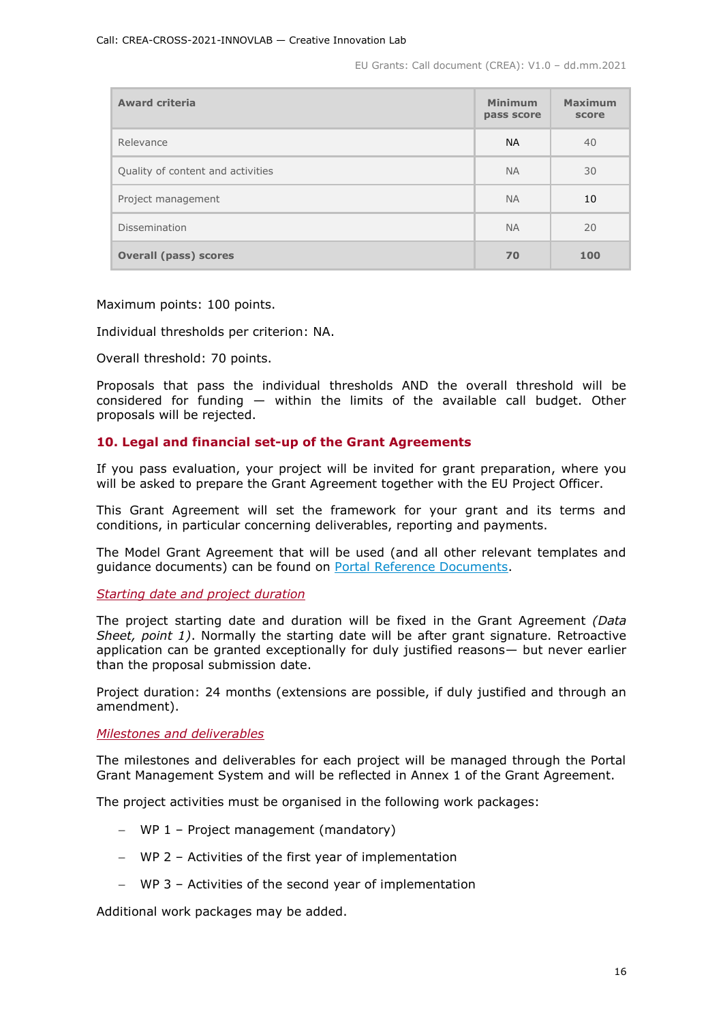EU Grants: Call document (CREA): V1.0 – dd.mm.2021

| <b>Award criteria</b>             | <b>Minimum</b><br>pass score | <b>Maximum</b><br>score |
|-----------------------------------|------------------------------|-------------------------|
| Relevance                         | <b>NA</b>                    | 40                      |
| Quality of content and activities | <b>NA</b>                    | 30                      |
| Project management                | <b>NA</b>                    | 10                      |
| Dissemination                     | <b>NA</b>                    | 20                      |
| <b>Overall (pass) scores</b>      | 70                           | 100                     |

Maximum points: 100 points.

Individual thresholds per criterion: NA.

Overall threshold: 70 points.

Proposals that pass the individual thresholds AND the overall threshold will be considered for funding — within the limits of the available call budget. Other proposals will be rejected.

# <span id="page-15-0"></span>**10. Legal and financial set-up of the Grant Agreements**

If you pass evaluation, your project will be invited for grant preparation, where you will be asked to prepare the Grant Agreement together with the EU Project Officer.

This Grant Agreement will set the framework for your grant and its terms and conditions, in particular concerning deliverables, reporting and payments.

The Model Grant Agreement that will be used (and all other relevant templates and guidance documents) can be found on [Portal Reference Documents.](https://ec.europa.eu/info/funding-tenders/opportunities/portal/screen/how-to-participate/reference-documents)

<span id="page-15-1"></span>*Starting date and project duration* 

The project starting date and duration will be fixed in the Grant Agreement *(Data Sheet, point 1)*. Normally the starting date will be after grant signature. Retroactive application can be granted exceptionally for duly justified reasons— but never earlier than the proposal submission date.

Project duration: 24 months (extensions are possible, if duly justified and through an amendment).

<span id="page-15-2"></span>*Milestones and deliverables*

The milestones and deliverables for each project will be managed through the Portal Grant Management System and will be reflected in Annex 1 of the Grant Agreement.

The project activities must be organised in the following work packages:

- WP 1 Project management (mandatory)
- WP 2 Activities of the first year of implementation
- WP 3 Activities of the second year of implementation

Additional work packages may be added.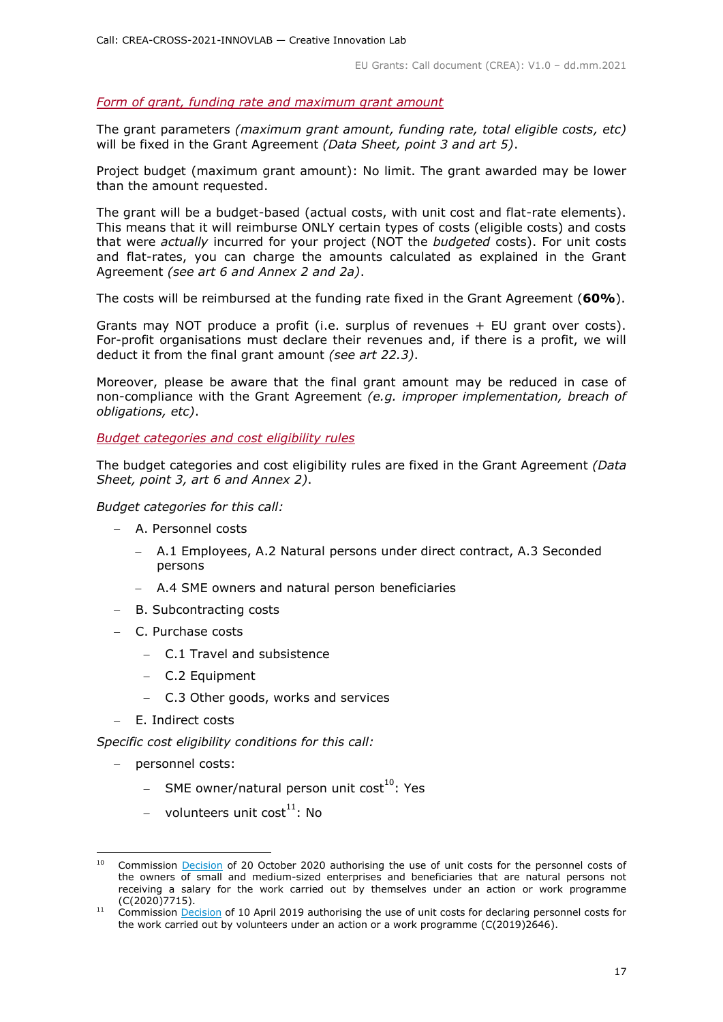#### <span id="page-16-0"></span>*Form of grant, funding rate and maximum grant amount*

The grant parameters *(maximum grant amount, funding rate, total eligible costs, etc)* will be fixed in the Grant Agreement *(Data Sheet, point 3 and art 5)*.

Project budget (maximum grant amount): No limit. The grant awarded may be lower than the amount requested.

The grant will be a budget-based (actual costs, with unit cost and flat-rate elements). This means that it will reimburse ONLY certain types of costs (eligible costs) and costs that were *actually* incurred for your project (NOT the *budgeted* costs). For unit costs and flat-rates, you can charge the amounts calculated as explained in the Grant Agreement *(see art 6 and Annex 2 and 2a)*.

The costs will be reimbursed at the funding rate fixed in the Grant Agreement (**60%**).

Grants may NOT produce a profit (i.e. surplus of revenues + EU grant over costs). For-profit organisations must declare their revenues and, if there is a profit, we will deduct it from the final grant amount *(see art 22.3)*.

Moreover, please be aware that the final grant amount may be reduced in case of non-compliance with the Grant Agreement *(e.g. improper implementation, breach of obligations, etc)*.

<span id="page-16-1"></span>*Budget categories and cost eligibility rules*

The budget categories and cost eligibility rules are fixed in the Grant Agreement *(Data Sheet, point 3, art 6 and Annex 2)*.

*Budget categories for this call:*

- A. Personnel costs
	- A.1 Employees, A.2 Natural persons under direct contract, A.3 Seconded persons
	- A.4 SME owners and natural person beneficiaries
- B. Subcontracting costs
- C. Purchase costs
	- C.1 Travel and subsistence
	- C.2 Equipment
	- C.3 Other goods, works and services
- E. Indirect costs

*Specific cost eligibility conditions for this call:* 

- personnel costs:
	- $-$  SME owner/natural person unit cost<sup>10</sup>: Yes
	- volunteers unit  $cost^{11}$ : No

<sup>-</sup>Commission [Decision](https://ec.europa.eu/info/funding-tenders/opportunities/docs/2021-2027/common/guidance/unit-cost-decision-sme-owners-natural-persons_en.pdf) of 20 October 2020 authorising the use of unit costs for the personnel costs of the owners of small and medium-sized enterprises and beneficiaries that are natural persons not receiving a salary for the work carried out by themselves under an action or work programme (C(2020)7715).

 $11$  Commission **Decision** of 10 April 2019 authorising the use of unit costs for declaring personnel costs for the work carried out by volunteers under an action or a work programme (C(2019)2646).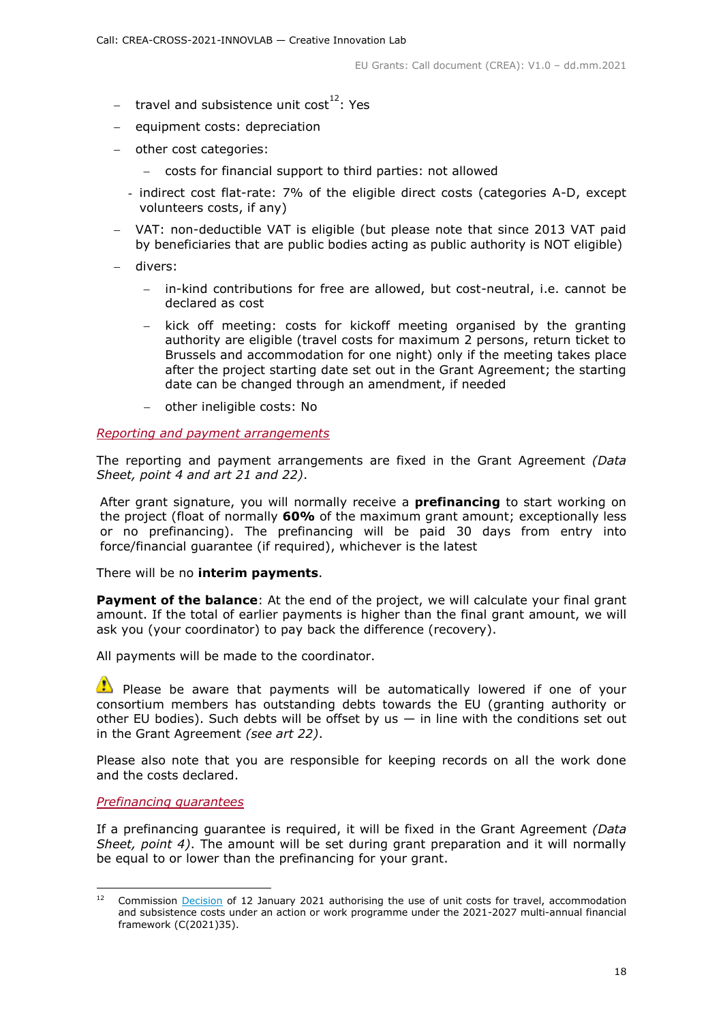- travel and subsistence unit cost<sup>12</sup>: Yes
- equipment costs: depreciation
- other cost categories:
	- costs for financial support to third parties: not allowed
	- indirect cost flat-rate: 7% of the eligible direct costs (categories A-D, except volunteers costs, if any)
- VAT: non-deductible VAT is eligible (but please note that since 2013 VAT paid by beneficiaries that are public bodies acting as public authority is NOT eligible)
- divers:
	- in-kind contributions for free are allowed, but cost-neutral, i.e. cannot be declared as cost
	- kick off meeting: costs for kickoff meeting organised by the granting authority are eligible (travel costs for maximum 2 persons, return ticket to Brussels and accommodation for one night) only if the meeting takes place after the project starting date set out in the Grant Agreement; the starting date can be changed through an amendment, if needed
	- other ineligible costs: No

#### <span id="page-17-0"></span>*Reporting and payment arrangements*

The reporting and payment arrangements are fixed in the Grant Agreement *(Data Sheet, point 4 and art 21 and 22)*.

After grant signature, you will normally receive a **prefinancing** to start working on the project (float of normally **60%** of the maximum grant amount; exceptionally less or no prefinancing). The prefinancing will be paid 30 days from entry into force/financial guarantee (if required), whichever is the latest

There will be no **interim payments**.

**Payment of the balance**: At the end of the project, we will calculate your final grant amount. If the total of earlier payments is higher than the final grant amount, we will ask you (your coordinator) to pay back the difference (recovery).

All payments will be made to the coordinator.

 $\bullet$  Please be aware that payments will be automatically lowered if one of your consortium members has outstanding debts towards the EU (granting authority or other EU bodies). Such debts will be offset by us  $-$  in line with the conditions set out in the Grant Agreement *(see art 22)*.

Please also note that you are responsible for keeping records on all the work done and the costs declared.

#### <span id="page-17-1"></span>*Prefinancing guarantees*

If a prefinancing guarantee is required, it will be fixed in the Grant Agreement *(Data Sheet, point 4)*. The amount will be set during grant preparation and it will normally be equal to or lower than the prefinancing for your grant.

 $12$ <sup>12</sup> Commission [Decision](https://ec.europa.eu/info/funding-tenders/opportunities/docs/2021-2027/common/guidance/unit-cost-decision-travel_en.pdf) of 12 January 2021 authorising the use of unit costs for travel, accommodation and subsistence costs under an action or work programme under the 2021-2027 multi-annual financial framework (C(2021)35).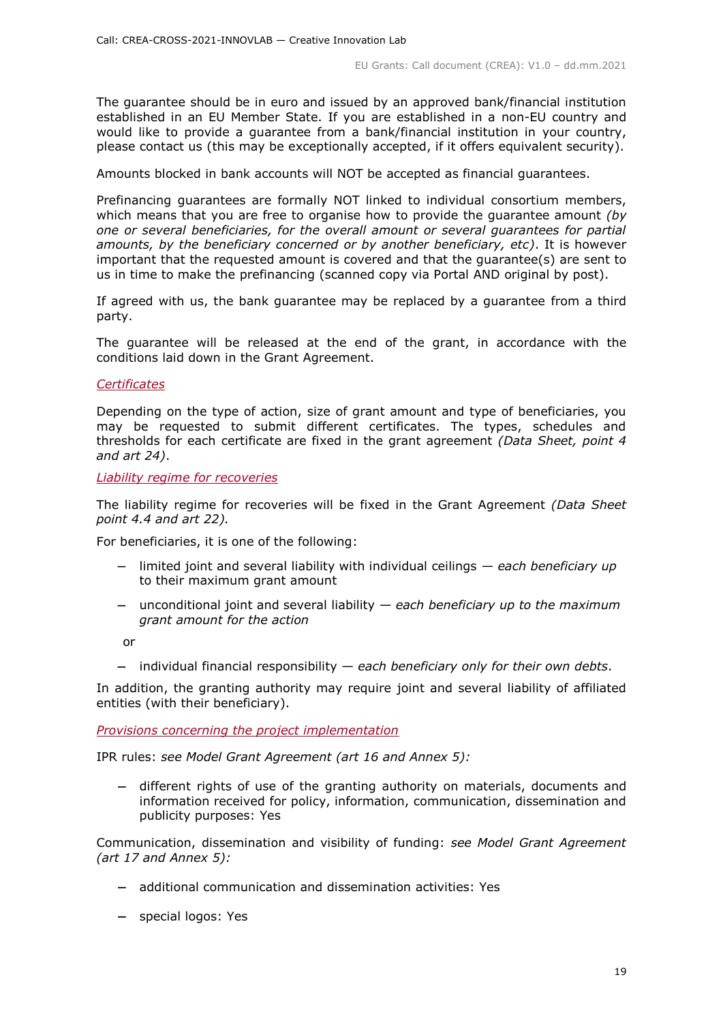The guarantee should be in euro and issued by an approved bank/financial institution established in an EU Member State. If you are established in a non-EU country and would like to provide a guarantee from a bank/financial institution in your country, please contact us (this may be exceptionally accepted, if it offers equivalent security).

Amounts blocked in bank accounts will NOT be accepted as financial guarantees.

Prefinancing guarantees are formally NOT linked to individual consortium members, which means that you are free to organise how to provide the guarantee amount *(by one or several beneficiaries, for the overall amount or several guarantees for partial amounts, by the beneficiary concerned or by another beneficiary, etc)*. It is however important that the requested amount is covered and that the guarantee(s) are sent to us in time to make the prefinancing (scanned copy via Portal AND original by post).

If agreed with us, the bank guarantee may be replaced by a guarantee from a third party.

The guarantee will be released at the end of the grant, in accordance with the conditions laid down in the Grant Agreement.

#### <span id="page-18-0"></span>*Certificates*

Depending on the type of action, size of grant amount and type of beneficiaries, you may be requested to submit different certificates. The types, schedules and thresholds for each certificate are fixed in the grant agreement *(Data Sheet, point 4 and art 24)*.

<span id="page-18-1"></span>*Liability regime for recoveries*

The liability regime for recoveries will be fixed in the Grant Agreement *(Data Sheet point 4.4 and art 22).*

For beneficiaries, it is one of the following:

- limited joint and several liability with individual ceilings *each beneficiary up*  to their maximum grant amount
- unconditional joint and several liability *each beneficiary up to the maximum grant amount for the action*

or

individual financial responsibility — *each beneficiary only for their own debts*.

In addition, the granting authority may require joint and several liability of affiliated entities (with their beneficiary).

<span id="page-18-2"></span>*Provisions concerning the project implementation*

IPR rules: *see Model Grant Agreement (art 16 and Annex 5):*

 different rights of use of the granting authority on materials, documents and information received for policy, information, communication, dissemination and publicity purposes: Yes

Communication, dissemination and visibility of funding: *see Model Grant Agreement (art 17 and Annex 5):*

- additional communication and dissemination activities: Yes
- special logos: Yes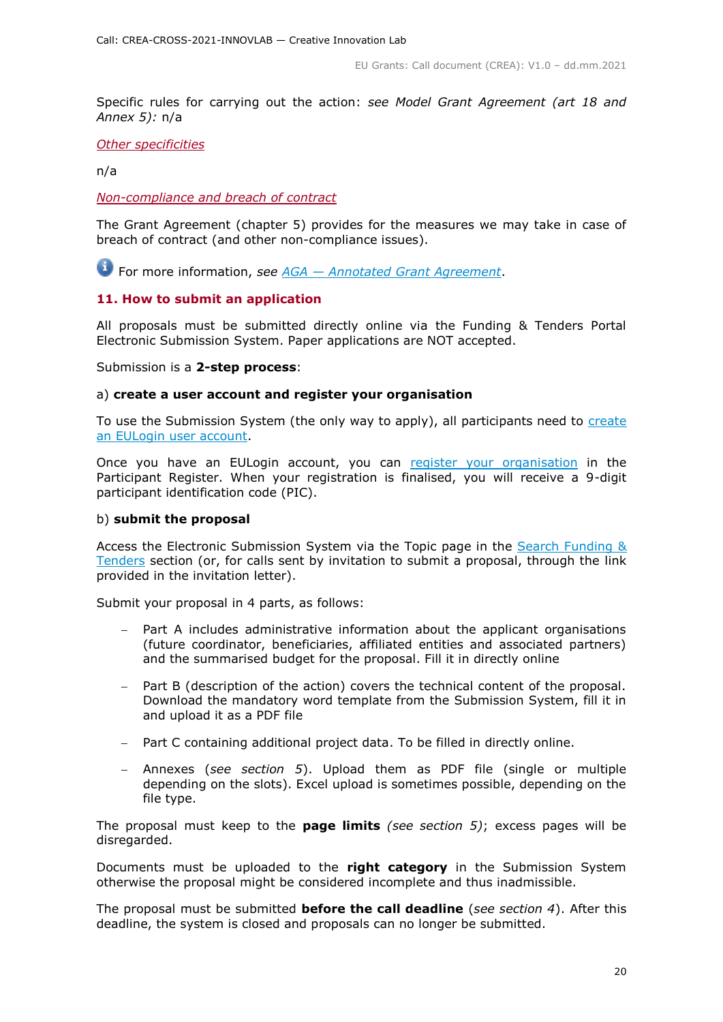Specific rules for carrying out the action: *see Model Grant Agreement (art 18 and Annex 5):* n/a

#### <span id="page-19-0"></span>*Other specificities*

n/a

#### <span id="page-19-1"></span>*Non-compliance and breach of contract*

The Grant Agreement (chapter 5) provides for the measures we may take in case of breach of contract (and other non-compliance issues).

For more information, *see AGA — [Annotated Grant Agreement](https://ec.europa.eu/info/funding-tenders/opportunities/docs/2021-2027/common/guidance/aga_en.pdf)*.

# <span id="page-19-2"></span>**11. How to submit an application**

All proposals must be submitted directly online via the Funding & Tenders Portal Electronic Submission System. Paper applications are NOT accepted.

#### Submission is a **2-step process**:

#### a) **create a user account and register your organisation**

To use the Submission System (the only way to apply), all participants need to [create](https://webgate.ec.europa.eu/cas/eim/external/register.cgi)  [an EULogin user account.](https://webgate.ec.europa.eu/cas/eim/external/register.cgi)

Once you have an EULogin account, you can [register your organisation](https://ec.europa.eu/info/funding-tenders/opportunities/portal/screen/how-to-participate/participant-register) in the Participant Register. When your registration is finalised, you will receive a 9-digit participant identification code (PIC).

#### b) **submit the proposal**

Access the Electronic Submission System via the Topic page in the [Search Funding &](https://ec.europa.eu/info/funding-tenders/opportunities/portal/screen/opportunities/topic-search;freeTextSearchKeyword=;typeCodes=0,1;statusCodes=31094501,31094502,31094503;programCode=null;programDivisionCode=null;focusAreaCode=null;crossCuttingPriorityCode=null;callCode=Default;sortQuery=openingDate;orderBy=asc;onlyTenders=false;topicListKey=topicSearchTablePageState)  [Tenders](https://ec.europa.eu/info/funding-tenders/opportunities/portal/screen/opportunities/topic-search;freeTextSearchKeyword=;typeCodes=0,1;statusCodes=31094501,31094502,31094503;programCode=null;programDivisionCode=null;focusAreaCode=null;crossCuttingPriorityCode=null;callCode=Default;sortQuery=openingDate;orderBy=asc;onlyTenders=false;topicListKey=topicSearchTablePageState) section (or, for calls sent by invitation to submit a proposal, through the link provided in the invitation letter).

Submit your proposal in 4 parts, as follows:

- Part A includes administrative information about the applicant organisations (future coordinator, beneficiaries, affiliated entities and associated partners) and the summarised budget for the proposal. Fill it in directly online
- Part B (description of the action) covers the technical content of the proposal. Download the mandatory word template from the Submission System, fill it in and upload it as a PDF file
- Part C containing additional project data. To be filled in directly online.
- Annexes (*see section 5*). Upload them as PDF file (single or multiple depending on the slots). Excel upload is sometimes possible, depending on the file type.

The proposal must keep to the **page limits** *(see section 5)*; excess pages will be disregarded.

Documents must be uploaded to the **right category** in the Submission System otherwise the proposal might be considered incomplete and thus inadmissible.

The proposal must be submitted **before the call deadline** (*see section 4*). After this deadline, the system is closed and proposals can no longer be submitted.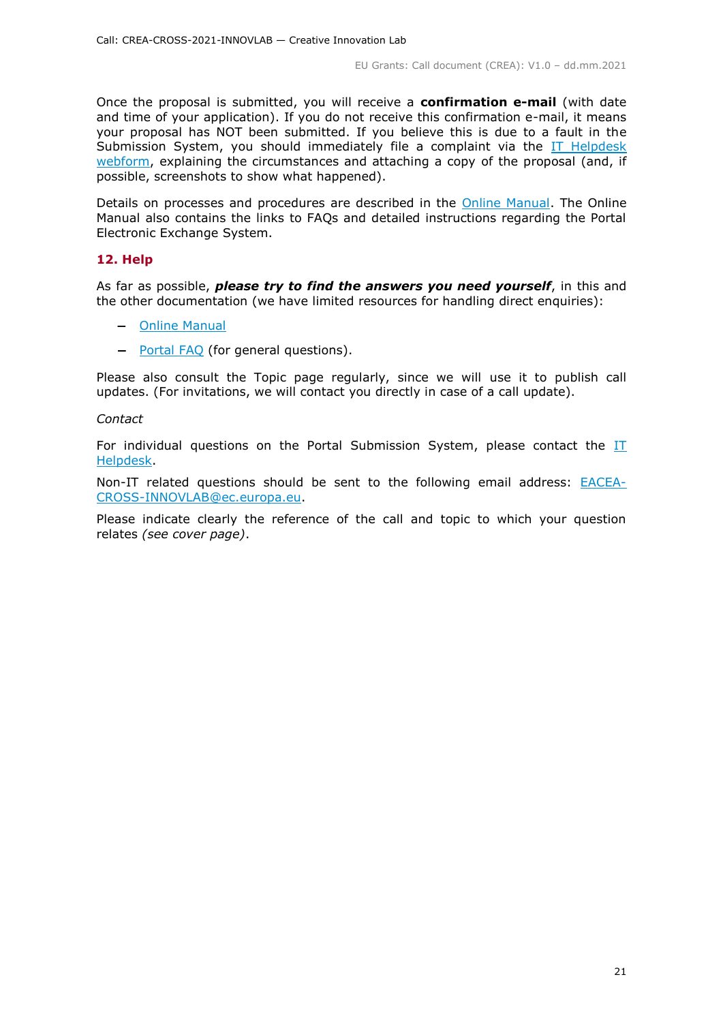Once the proposal is submitted, you will receive a **confirmation e-mail** (with date and time of your application). If you do not receive this confirmation e-mail, it means your proposal has NOT been submitted. If you believe this is due to a fault in the Submission System, you should immediately file a complaint via the [IT Helpdesk](https://ec.europa.eu/info/funding-tenders/opportunities/portal/screen/support/helpdesks/contact-form)  [webform,](https://ec.europa.eu/info/funding-tenders/opportunities/portal/screen/support/helpdesks/contact-form) explaining the circumstances and attaching a copy of the proposal (and, if possible, screenshots to show what happened).

Details on processes and procedures are described in the [Online Manual.](https://ec.europa.eu/info/funding-tenders/opportunities/docs/2021-2027/common/guidance/om_en.pdf) The Online Manual also contains the links to FAQs and detailed instructions regarding the Portal Electronic Exchange System.

#### <span id="page-20-0"></span>**12. Help**

As far as possible, *please try to find the answers you need yourself*, in this and the other documentation (we have limited resources for handling direct enquiries):

- [Online Manual](https://ec.europa.eu/info/funding-tenders/opportunities/docs/2021-2027/common/guidance/om_en.pdf)
- [Portal FAQ](https://ec.europa.eu/info/funding-tenders/opportunities/portal/screen/support/faq;categories=;programme=null;actions=;keyword=) (for general questions).

Please also consult the Topic page regularly, since we will use it to publish call updates. (For invitations, we will contact you directly in case of a call update).

#### *Contact*

For individual questions on the Portal Submission System, please contact the [IT](https://ec.europa.eu/info/funding-tenders/opportunities/portal/screen/support/helpdesks/contact-form)  [Helpdesk.](https://ec.europa.eu/info/funding-tenders/opportunities/portal/screen/support/helpdesks/contact-form)

Non-IT related questions should be sent to the following email address: [EACEA-](mailto:EACEA-CROSS-INNOVLAB@ec.europa.eu)[CROSS-INNOVLAB@ec.europa.eu.](mailto:EACEA-CROSS-INNOVLAB@ec.europa.eu)

<span id="page-20-1"></span>Please indicate clearly the reference of the call and topic to which your question relates *(see cover page)*.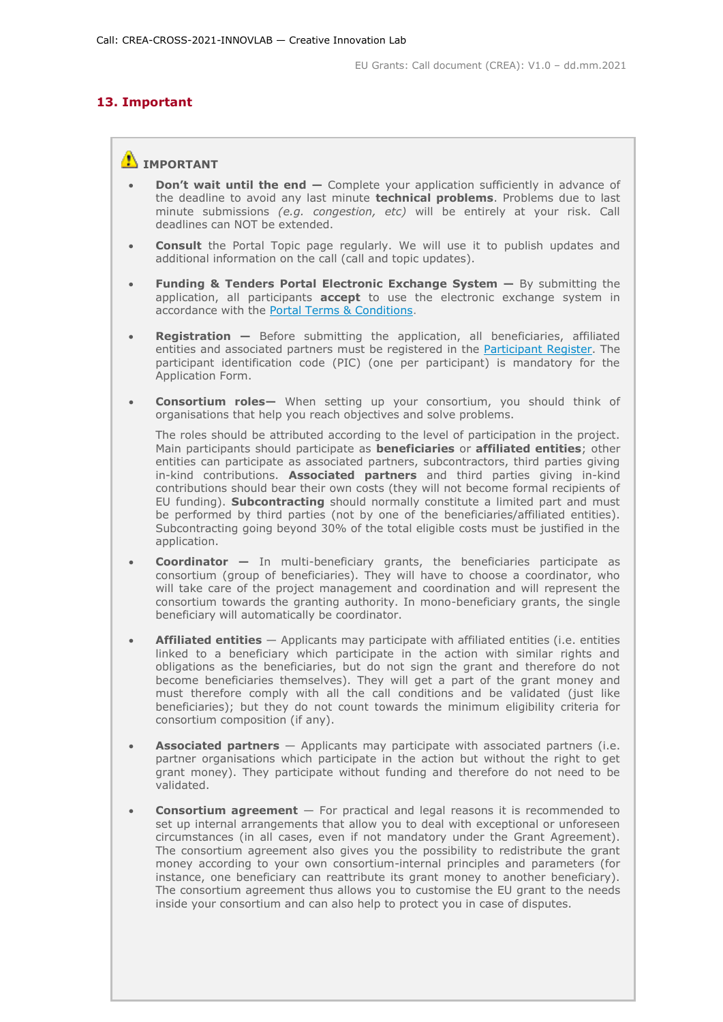# **13. Important**

# **IMPORTANT**

- **Don't wait until the end —** Complete your application sufficiently in advance of the deadline to avoid any last minute **technical problems**. Problems due to last minute submissions *(e.g. congestion, etc)* will be entirely at your risk. Call deadlines can NOT be extended.
- **Consult** the Portal Topic page regularly. We will use it to publish updates and additional information on the call (call and topic updates).
- **Funding & Tenders Portal Electronic Exchange System —** By submitting the application, all participants **accept** to use the electronic exchange system in accordance with the [Portal Terms & Conditions.](https://ec.europa.eu/info/funding-tenders/opportunities/docs/2021-2027/common/ftp/tc_en.pdf)
- **Registration —** Before submitting the application, all beneficiaries, affiliated entities and associated partners must be registered in the [Participant Register.](https://ec.europa.eu/info/funding-tenders/opportunities/portal/screen/how-to-participate/participant-register) The participant identification code (PIC) (one per participant) is mandatory for the Application Form.
- **Consortium roles—** When setting up your consortium, you should think of organisations that help you reach objectives and solve problems.

The roles should be attributed according to the level of participation in the project. Main participants should participate as **beneficiaries** or **affiliated entities**; other entities can participate as associated partners, subcontractors, third parties giving in-kind contributions. **Associated partners** and third parties giving in-kind contributions should bear their own costs (they will not become formal recipients of EU funding). **Subcontracting** should normally constitute a limited part and must be performed by third parties (not by one of the beneficiaries/affiliated entities). Subcontracting going beyond 30% of the total eligible costs must be justified in the application.

- **Coordinator —** In multi-beneficiary grants, the beneficiaries participate as consortium (group of beneficiaries). They will have to choose a coordinator, who will take care of the project management and coordination and will represent the consortium towards the granting authority. In mono-beneficiary grants, the single beneficiary will automatically be coordinator.
- **Affiliated entities** Applicants may participate with affiliated entities (i.e. entities linked to a beneficiary which participate in the action with similar rights and obligations as the beneficiaries, but do not sign the grant and therefore do not become beneficiaries themselves). They will get a part of the grant money and must therefore comply with all the call conditions and be validated (just like beneficiaries); but they do not count towards the minimum eligibility criteria for consortium composition (if any).
- **Associated partners** Applicants may participate with associated partners (i.e. partner organisations which participate in the action but without the right to get grant money). They participate without funding and therefore do not need to be validated.
- **Consortium agreement** For practical and legal reasons it is recommended to set up internal arrangements that allow you to deal with exceptional or unforeseen circumstances (in all cases, even if not mandatory under the Grant Agreement). The consortium agreement also gives you the possibility to redistribute the grant money according to your own consortium-internal principles and parameters (for instance, one beneficiary can reattribute its grant money to another beneficiary). The consortium agreement thus allows you to customise the EU grant to the needs inside your consortium and can also help to protect you in case of disputes.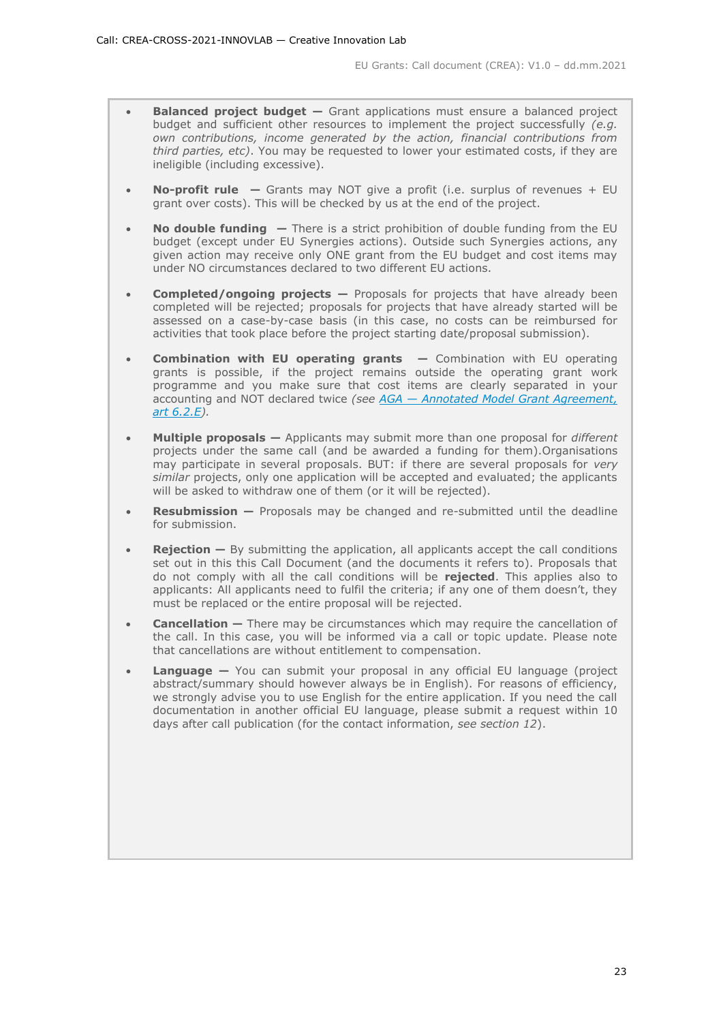- **Balanced project budget –** Grant applications must ensure a balanced project budget and sufficient other resources to implement the project successfully *(e.g. own contributions, income generated by the action, financial contributions from third parties, etc)*. You may be requested to lower your estimated costs, if they are ineligible (including excessive).
- **No-profit rule —** Grants may NOT give a profit (i.e. surplus of revenues + EU grant over costs). This will be checked by us at the end of the project.
- **No double funding —** There is a strict prohibition of double funding from the EU budget (except under EU Synergies actions). Outside such Synergies actions, any given action may receive only ONE grant from the EU budget and cost items may under NO circumstances declared to two different EU actions.
- **Completed/ongoing projects —** Proposals for projects that have already been completed will be rejected; proposals for projects that have already started will be assessed on a case-by-case basis (in this case, no costs can be reimbursed for activities that took place before the project starting date/proposal submission).
- **Combination with EU operating grants —** Combination with EU operating grants is possible, if the project remains outside the operating grant work programme and you make sure that cost items are clearly separated in your accounting and NOT declared twice *(see AGA — [Annotated Model Grant Agreement,](https://ec.europa.eu/info/funding-tenders/opportunities/docs/2021-2027/common/guidance/aga_en.pdf)  [art 6.2.E\)](https://ec.europa.eu/info/funding-tenders/opportunities/docs/2021-2027/common/guidance/aga_en.pdf).*
- **Multiple proposals —** Applicants may submit more than one proposal for *different* projects under the same call (and be awarded a funding for them).Organisations may participate in several proposals. BUT: if there are several proposals for *very similar* projects, only one application will be accepted and evaluated; the applicants will be asked to withdraw one of them (or it will be rejected).
- **Resubmission —** Proposals may be changed and re-submitted until the deadline for submission.
- **Rejection –** By submitting the application, all applicants accept the call conditions set out in this this Call Document (and the documents it refers to). Proposals that do not comply with all the call conditions will be **rejected**. This applies also to applicants: All applicants need to fulfil the criteria; if any one of them doesn't, they must be replaced or the entire proposal will be rejected.
- **Cancellation –** There may be circumstances which may require the cancellation of the call. In this case, you will be informed via a call or topic update. Please note that cancellations are without entitlement to compensation.
- **Language —** You can submit your proposal in any official EU language (project abstract/summary should however always be in English). For reasons of efficiency, we strongly advise you to use English for the entire application. If you need the call documentation in another official EU language, please submit a request within 10 days after call publication (for the contact information, *see section 12*).